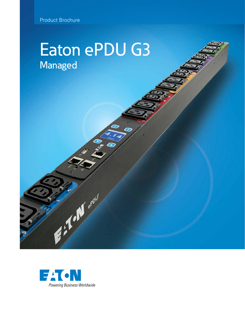# Eaton ePDU G3 **Managed**



Find of the copy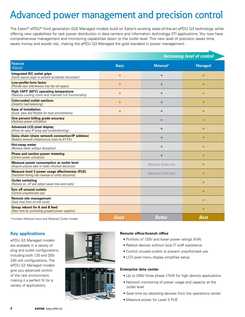## Advanced power management and precision control

The Eaton® ePDU® third generation (G3) Managed models build on Eaton's existing state-of-the-art ePDU G3 technology while offering new capabilities for rack power distribution in data centers and information technology (IT) applications. You now have comprehensive management and monitoring capabilities down to the outlet level. This new level of precision saves time, saves money and avoids risk, making the ePDU G3 Managed the gold standard in power management.

|                                                                                                                 |              | <b>Increasing level of control</b> |                |  |
|-----------------------------------------------------------------------------------------------------------------|--------------|------------------------------------|----------------|--|
| <b>Feature</b><br>(Value)                                                                                       | <b>Basic</b> | Metered*                           | <b>Managed</b> |  |
| Integrated IEC outlet grips<br>(Easily secure plugs to prevent accidental disconnect)                           | $\bullet$    | $\bullet$                          | $\bullet$      |  |
| Low-profile form factor<br>(Provide zero interference into the rail space)                                      | $\bullet$    | $\bullet$                          | $\bullet$      |  |
| High 140°F (60°C) operating temperature<br>(Reduce cooling costs and maintain full functionality)               | $\bullet$    | $\bullet$                          | $\bullet$      |  |
| <b>Color-coded outlet sections</b><br>(Simplify load balancing)                                                 | $\bullet$    | $\bullet$                          | $\bullet$      |  |
| <b>Ease of installation</b><br>(Quick, easy and flexible for most environments)                                 | $\bullet$    | $\bullet$                          | $\bullet$      |  |
| One percent billing grade accuracy<br>(Optimize power utilization)                                              |              | $\bullet$                          | $\bullet$      |  |
| <b>Advanced LCD pixel display</b><br>(Allow for easy IP setup and troubleshooting)                              |              | $\bullet$                          | $\bullet$      |  |
| Daisy chain (share network connection/IP address)<br>(Reduce network infrastructure costs by 87.5%)             |              | $\bullet$                          | $\bullet$      |  |
| Hot-swap meter<br>(Remove meter without disruption)                                                             |              | $\bullet$                          | $\bullet$      |  |
| <b>Phase and section power metering</b><br>(Control power utilization)                                          |              | $\bullet$                          | $\bullet$      |  |
| Measure power consumption at outlet level<br>(Acquire precise data to make informed decisions)                  |              | Metered Outlet only                | $\bullet$      |  |
| <b>Measure level 3 power usage effectiveness (PUE)</b><br>(Transform billing into revenue or utility discounts) |              | Metered Outlet only                | $\bullet$      |  |
| <b>Outlet switching</b><br>(Remote on, off and reboot saves time and costs)                                     |              |                                    | $\bullet$      |  |
| <b>Turn off unused outlets</b><br>(Control unauthorized use)                                                    |              |                                    | $\bullet$      |  |
| Remote site management<br>(Save time from on-site visits)                                                       |              |                                    | $\bullet$      |  |
| <b>Group reboot for A and B feed</b><br>(Save time by controlling grouped power supplies)                       |              |                                    | $\bullet$      |  |
| *Includes Metered Input and Metered Outlet models                                                               | Good         | <b>Better</b>                      | <b>Best</b>    |  |

### **Key applications**

ePDU G3 Managed models are available in a variety of plug and outlet configurations, including both 120 and 200- 240 volt configurations. The ePDU G3 Managed models give you advanced control of the rack environment, making it a perfect fit for a variety of applications.





#### **Remote office/branch office**

- Portfolio of 120V and lower power ratings (kVA)
- Reboot devices without local IT staff assistance
- Control unused outlets to prevent unauthorized use
- LCD pixel menu display simplifies setup

#### **Enterprise data center**

- Up to 208V three phase 17kW for high density applications
- Network monitoring of power usage and capacity at the outlet level
- Save time by rebooting devices from the operations center
- Measure power for Level 3 PUE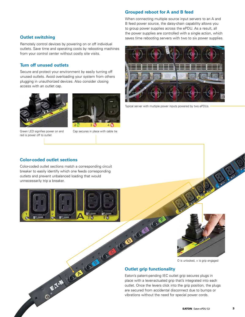#### **Grouped reboot for A and B feed**

When connecting multiple source input servers to an A and B feed power source, the daisy-chain capability allows you to group power supplies across the ePDU. As a result, all the power supplies are controlled with a single action, which **Outlet switching** saves time rebooting servers with two to six power supplies.

Remotely control devices by powering on or off individual outlets. Save time and operating costs by rebooting machines from your control center without costly site visits.

#### **Turn off unused outlets**

Secure and protect your environment by easily turning off unused outlets. Avoid overloading your system from others plugging in unauthorized devices. Also consider closing access with an outlet cap.



Green LED signifies power on and red is power off to outlet



Cap secures in place with cable tie



Typical server with multiple power inputs powered by two ePDUs

#### **Color-coded outlet sections**

Color-coded outlet sections match a corresponding circuit breaker to easily identify which one feeds corresponding outlets and prevent unbalanced loading that would unnecessarily trip a breaker.





O is unlocked, + is grip engaged

Eaton's patent-pending IEC outlet grip secures plugs in place with a lever-actuated grip that's integrated into each outlet. Once the levers click into the grip position, the plugs are secured from accidental disconnect due to bumps or vibrations without the need for special power cords.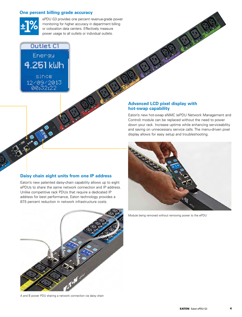#### **One percent billing grade accuracy**



ePDU G3 provides one percent revenue-grade power monitoring for higher accuracy in department billing or colocation data centers. Effectively measure power usage to all outlets or individual outlets.

### **Outlet C1**

Energy 4.251 kWh since 12/09/2013 00:32:22

#### **Advanced LCD pixel display with hot-swap capability**

Eaton's new hot-swap eNMC (ePDU Network Management and Control) module can be replaced without the need to power down your rack. Increase uptime while enhancing serviceability and saving on unnecessary service calls. The menu-driven pixel display allows for easy setup and troubleshooting.



Module being removed without removing power to the ePDU

#### **Daisy chain eight units from one IP address**

Eaton's new patented daisy-chain capability allows up to eight ePDUs to share the same network connection and IP address. Unlike competitive rack PDUs that require a dedicated IP address for best performance, Eaton technology provides a 87.5 percent reduction in network infrastructure costs.



A and B power PDU sharing a network connection via daisy chain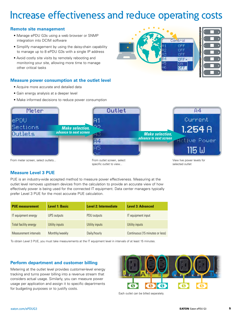## Increase effectiveness and reduce operating costs

#### **Remote site management**

- Manage ePDU G3s using a web browser or SNMP integration into DCIM software
- Simplify management by using the daisy-chain capability to manage up to 8 ePDU G3s with a single IP address
- Avoid costly site visits by remotely rebooting and monitoring your site, allowing more time to manage other critical tasks

#### **Measure power consumption at the outlet level**

- Acquire more accurate and detailed data
- Gain energy analysis at a deeper level
- Make informed decisions to reduce power consumption





### **Measure Level 3 PUE**

PUE is an industry-wide accepted method to measure power effectiveness. Measuring at the outlet level removes upstream devices from the calculation to provide an accurate view of how effectively power is being used for the connected IT equipment. Data center managers typically prefer Level 3 PUE for the most accurate PUE calculation.

| <b>PUE measurement</b>       | <b>Level 1: Basic</b> | <b>Level 2: Intermediate</b> | <b>Level 3: Advanced</b>        |
|------------------------------|-----------------------|------------------------------|---------------------------------|
| IT equipment energy          | UPS outputs           | PDU outputs                  | IT equipment input              |
| <b>Total facility energy</b> | Utility inputs        | Utility inputs               | Utility inputs                  |
| Measurement intervals        | Monthly/weekly        | Daily/hourly                 | Continuous (15 minutes or less) |

To obtain Level 3 PUE, you must take measurements at the IT equipment level in intervals of at least 15 minutes.

#### **Perform department and customer billing**

Metering at the outlet level provides customer-level energy tracking and turns power billing into a revenue stream that considers actual usage. Similarly, you can measure power usage per application and assign it to specific departments for budgeting purposes or to justify costs.



Each outlet can be billed separately.